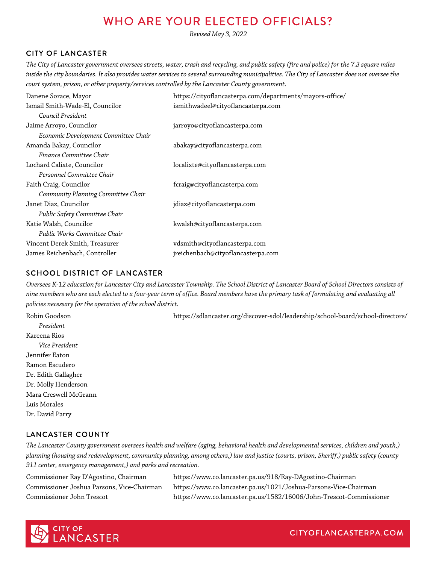# WHO ARE YOUR ELECTED OFFICIALS?

*Revised May 3, 2022*

## CITY OF LANCASTER

*The City of Lancaster government oversees streets, water, trash and recycling, and public safety (fire and police) for the 7.3 square miles inside the city boundaries. It also provides water services to several surrounding municipalities. The City of Lancaster does not oversee the court system, prison, or other property/services controlled by the Lancaster County government.*

| Danene Sorace, Mayor                 | https://cityoflancasterpa.com/departments/mayors-office/ |
|--------------------------------------|----------------------------------------------------------|
| Ismail Smith-Wade-El, Councilor      | ismithwadeel@cityoflancasterpa.com                       |
| Council President                    |                                                          |
| Jaime Arroyo, Councilor              | jarroyo@cityoflancasterpa.com                            |
| Economic Development Committee Chair |                                                          |
| Amanda Bakay, Councilor              | abakay@cityoflancasterpa.com                             |
| Finance Committee Chair              |                                                          |
| Lochard Calixte, Councilor           | localixte@cityoflancasterpa.com                          |
| Personnel Committee Chair            |                                                          |
| Faith Craig, Councilor               | fcraig@cityoflancasterpa.com                             |
| Community Planning Committee Chair   |                                                          |
| Janet Diaz, Councilor                | jdiaz@cityoflancasterpa.com                              |
| Public Safety Committee Chair        |                                                          |
| Katie Walsh, Councilor               | kwalsh@cityoflancasterpa.com                             |
| Public Works Committee Chair         |                                                          |
| Vincent Derek Smith, Treasurer       | vdsmith@cityoflancasterpa.com                            |
| James Reichenbach, Controller        | jreichenbach@cityoflancasterpa.com                       |
|                                      |                                                          |

#### SCHOOL DISTRICT OF LANCASTER

*Oversees K-12 education for Lancaster City and Lancaster Township. The School District of Lancaster Board of School Directors consists of nine members who are each elected to a four-year term of office. Board members have the primary task of formulating and evaluating all policies necessary for the operation of the school district.*

*President* Kareena Rios *Vice President* Jennifer Eaton Ramon Escudero Dr. Edith Gallagher Dr. Molly Henderson Mara Creswell McGrann Luis Morales Dr. David Parry

Robin Goodson https://sdlancaster.org/discover-sdol/leadership/school-board/school-directors/

## LANCASTER COUNTY

*The Lancaster County government oversees health and welfare (aging, behavioral health and developmental services, children and youth,) planning (housing and redevelopment, community planning, among others,) law and justice (courts, prison, Sheriff,) public safety (county 911 center, emergency management,) and parks and recreation.*

Commissioner Ray D'Agostino, Chairman https://www.co.lancaster.pa.us/918/Ray-DAgostino-Chairman Commissioner Joshua Parsons, Vice-Chairman https://www.co.lancaster.pa.us/1021/Joshua-Parsons-Vice-Chairman Commissioner John Trescot https://www.co.lancaster.pa.us/1582/16006/John-Trescot-Commissioner

CITYOFLANCASTERPA.COM